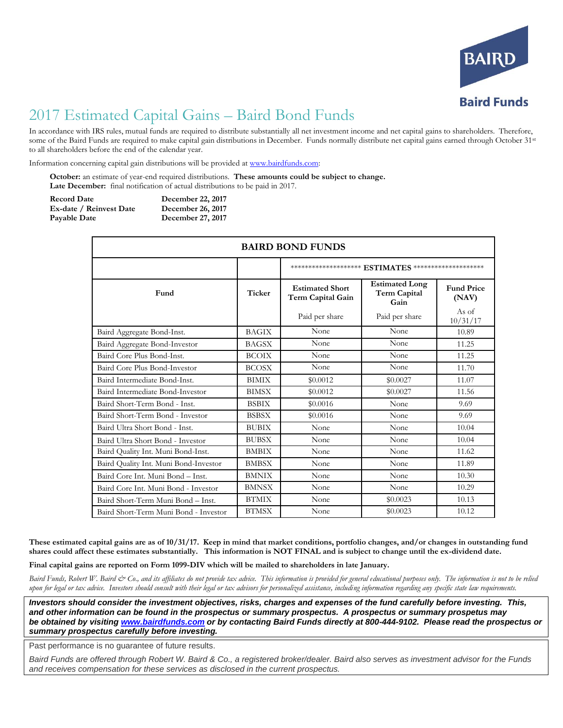

## 2017 Estimated Capital Gains – Baird Bond Funds

In accordance with IRS rules, mutual funds are required to distribute substantially all net investment income and net capital gains to shareholders. Therefore, some of the Baird Funds are required to make capital gain distributions in December. Funds normally distribute net capital gains earned through October 31st to all shareholders before the end of the calendar year.

Information concerning capital gain distributions will be provided a[t www.bairdfunds.com:](http://www.bairdfunds.com/)

**October:** an estimate of year-end required distributions. **These amounts could be subject to change. Late December:** final notification of actual distributions to be paid in 2017.

| <b>Record Date</b>      | December 22, 2017 |
|-------------------------|-------------------|
| Ex-date / Reinvest Date | December 26, 2017 |
| Payable Date            | December 27, 2017 |

| <b>BAIRD BOND FUNDS</b>               |               |                                                                    |                                               |                            |  |
|---------------------------------------|---------------|--------------------------------------------------------------------|-----------------------------------------------|----------------------------|--|
|                                       |               | ************************* $\mathbf{ESTIMATES}$ ******************* |                                               |                            |  |
| Fund                                  | <b>Ticker</b> | <b>Estimated Short</b><br>Term Capital Gain                        | <b>Estimated Long</b><br>Term Capital<br>Gain | <b>Fund Price</b><br>(NAV) |  |
|                                       |               | Paid per share                                                     | Paid per share                                | As of<br>10/31/17          |  |
| Baird Aggregate Bond-Inst.            | <b>BAGIX</b>  | None                                                               | None                                          | 10.89                      |  |
| Baird Aggregate Bond-Investor         | <b>BAGSX</b>  | None                                                               | None                                          | 11.25                      |  |
| Baird Core Plus Bond-Inst.            | <b>BCOIX</b>  | None                                                               | None                                          | 11.25                      |  |
| Baird Core Plus Bond-Investor         | <b>BCOSX</b>  | None                                                               | None                                          | 11.70                      |  |
| Baird Intermediate Bond-Inst.         | <b>BIMIX</b>  | \$0.0012                                                           | \$0.0027                                      | 11.07                      |  |
| Baird Intermediate Bond-Investor      | <b>BIMSX</b>  | \$0.0012                                                           | \$0.0027                                      | 11.56                      |  |
| Baird Short-Term Bond - Inst.         | <b>BSBIX</b>  | \$0.0016                                                           | None                                          | 9.69                       |  |
| Baird Short-Term Bond - Investor      | <b>BSBSX</b>  | \$0.0016                                                           | None                                          | 9.69                       |  |
| Baird Ultra Short Bond - Inst.        | <b>BUBIX</b>  | None                                                               | None                                          | 10.04                      |  |
| Baird Ultra Short Bond - Investor     | <b>BUBSX</b>  | None                                                               | None                                          | 10.04                      |  |
| Baird Quality Int. Muni Bond-Inst.    | <b>BMBIX</b>  | None                                                               | None                                          | 11.62                      |  |
| Baird Quality Int. Muni Bond-Investor | <b>BMBSX</b>  | None                                                               | None                                          | 11.89                      |  |
| Baird Core Int. Muni Bond - Inst.     | <b>BMNIX</b>  | None                                                               | None                                          | 10.30                      |  |
| Baird Core Int. Muni Bond - Investor  | <b>BMNSX</b>  | None                                                               | None                                          | 10.29                      |  |
| Baird Short-Term Muni Bond - Inst.    | <b>BTMIX</b>  | None                                                               | \$0.0023                                      | 10.13                      |  |
| Baird Short-Term Muni Bond - Investor | <b>BTMSX</b>  | None                                                               | \$0.0023                                      | 10.12                      |  |

**These estimated capital gains are as of 10/31/17. Keep in mind that market conditions, portfolio changes, and/or changes in outstanding fund shares could affect these estimates substantially. This information is NOT FINAL and is subject to change until the ex-dividend date.** 

**Final capital gains are reported on Form 1099-DIV which will be mailed to shareholders in late January.**

Baird Funds, Robert W. Baird & Co., and its affiliates do not provide tax advice. This information is provided for general educational purposes only. The information is not to be relied *upon for legal or tax advice. Investors should consult with their legal or tax advisors for personalized assistance, including information regarding any specific state law requirements.*

*Investors should consider the investment objectives, risks, charges and expenses of the fund carefully before investing. This, and other information can be found in the prospectus or summary prospectus. A prospectus or summary prospetus may be obtained by visitin[g www.bairdfunds.com](http://www.bairdfunds.com/) or by contacting Baird Funds directly at 800-444-9102. Please read the prospectus or summary prospectus carefully before investing.*

Past performance is no guarantee of future results.

*Baird Funds are offered through Robert W. Baird & Co., a registered broker/dealer. Baird also serves as investment advisor for the Funds and receives compensation for these services as disclosed in the current prospectus.*